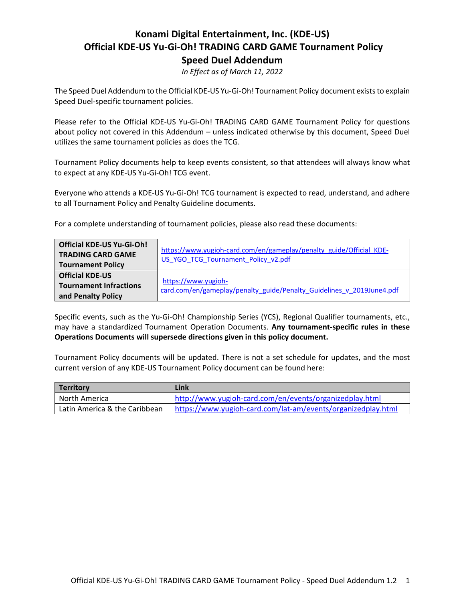# **Konami Digital Entertainment, Inc. (KDE-US) Official KDE-US Yu-Gi-Oh! TRADING CARD GAME Tournament Policy Speed Duel Addendum**

*In Effect as of March 11, 2022*

The Speed Duel Addendum to the Official KDE-US Yu-Gi-Oh! Tournament Policy document exists to explain Speed Duel-specific tournament policies.

Please refer to the Official KDE-US Yu-Gi-Oh! TRADING CARD GAME Tournament Policy for questions about policy not covered in this Addendum – unless indicated otherwise by this document, Speed Duel utilizes the same tournament policies as does the TCG.

Tournament Policy documents help to keep events consistent, so that attendees will always know what to expect at any KDE-US Yu-Gi-Oh! TCG event.

Everyone who attends a KDE-US Yu-Gi-Oh! TCG tournament is expected to read, understand, and adhere to all Tournament Policy and Penalty Guideline documents.

For a complete understanding of tournament policies, please also read these documents:

| <b>Official KDE-US Yu-Gi-Oh!</b><br><b>TRADING CARD GAME</b><br><b>Tournament Policy</b> | https://www.yugioh-card.com/en/gameplay/penalty_guide/Official_KDE-<br>US YGO TCG Tournament Policy v2.pdf |
|------------------------------------------------------------------------------------------|------------------------------------------------------------------------------------------------------------|
| <b>Official KDE-US</b><br><b>Tournament Infractions</b><br>and Penalty Policy            | https://www.yugioh-<br>card.com/en/gameplay/penalty_guide/Penalty_Guidelines_v_2019June4.pdf               |

Specific events, such as the Yu-Gi-Oh! Championship Series (YCS), Regional Qualifier tournaments, etc., may have a standardized Tournament Operation Documents. **Any tournament-specific rules in these Operations Documents will supersede directions given in this policy document.**

Tournament Policy documents will be updated. There is not a set schedule for updates, and the most current version of any KDE-US Tournament Policy document can be found here:

| <b>Territory</b>              | Link                                                         |
|-------------------------------|--------------------------------------------------------------|
| North America                 | http://www.yugioh-card.com/en/events/organizedplay.html      |
| Latin America & the Caribbean | https://www.yugioh-card.com/lat-am/events/organizedplay.html |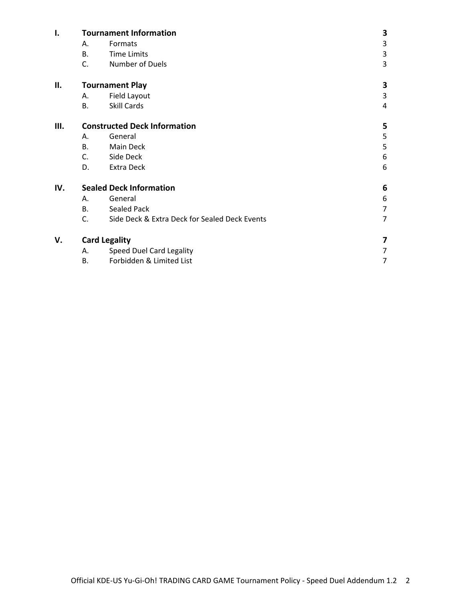| I.  | <b>Tournament Information</b> |                                               | 3              |
|-----|-------------------------------|-----------------------------------------------|----------------|
|     | А.                            | Formats                                       | 3              |
|     | <b>B.</b>                     | <b>Time Limits</b>                            | $\mathsf 3$    |
|     | C.                            | Number of Duels                               | 3              |
| ΙΙ. |                               | <b>Tournament Play</b>                        |                |
|     | А.                            | Field Layout                                  | 3              |
|     | В.                            | Skill Cards                                   | 4              |
| Ш.  |                               | <b>Constructed Deck Information</b>           | 5              |
|     | А.                            | General                                       | 5              |
|     | <b>B.</b>                     | Main Deck                                     | 5              |
|     | C.                            | Side Deck                                     | 6              |
|     | D.                            | Extra Deck                                    | 6              |
| IV. |                               | <b>Sealed Deck Information</b>                | 6              |
|     | А.                            | General                                       | 6              |
|     | В.                            | <b>Sealed Pack</b>                            | $\overline{7}$ |
|     | C.                            | Side Deck & Extra Deck for Sealed Deck Events | $\overline{7}$ |
| V.  |                               | <b>Card Legality</b>                          | 7              |
|     | А.                            | Speed Duel Card Legality                      | 7              |
|     | В.                            | Forbidden & Limited List                      | 7              |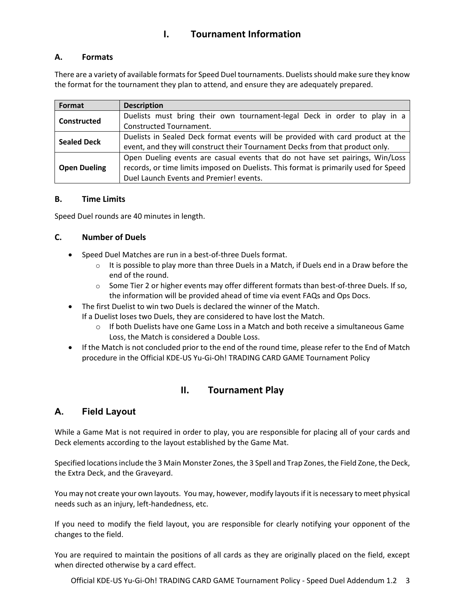# **I. Tournament Information**

## **A. Formats**

There are a variety of available formats for Speed Duel tournaments. Duelists should make sure they know the format for the tournament they plan to attend, and ensure they are adequately prepared.

| Format              | <b>Description</b>                                                                   |
|---------------------|--------------------------------------------------------------------------------------|
| Constructed         | Duelists must bring their own tournament-legal Deck in order to play in a            |
|                     | Constructed Tournament.                                                              |
| <b>Sealed Deck</b>  | Duelists in Sealed Deck format events will be provided with card product at the      |
|                     | event, and they will construct their Tournament Decks from that product only.        |
|                     | Open Dueling events are casual events that do not have set pairings, Win/Loss        |
| <b>Open Dueling</b> | records, or time limits imposed on Duelists. This format is primarily used for Speed |
|                     | Duel Launch Events and Premier! events.                                              |

### **B. Time Limits**

Speed Duel rounds are 40 minutes in length.

## **C. Number of Duels**

- Speed Duel Matches are run in a best-of-three Duels format.
	- $\circ$  It is possible to play more than three Duels in a Match, if Duels end in a Draw before the end of the round.
	- $\circ$  Some Tier 2 or higher events may offer different formats than best-of-three Duels. If so, the information will be provided ahead of time via event FAQs and Ops Docs.
- The first Duelist to win two Duels is declared the winner of the Match.

If a Duelist loses two Duels, they are considered to have lost the Match.

- $\circ$  If both Duelists have one Game Loss in a Match and both receive a simultaneous Game Loss, the Match is considered a Double Loss.
- If the Match is not concluded prior to the end of the round time, please refer to the End of Match procedure in the Official KDE-US Yu-Gi-Oh! TRADING CARD GAME Tournament Policy

## **II. Tournament Play**

## **A. Field Layout**

While a Game Mat is not required in order to play, you are responsible for placing all of your cards and Deck elements according to the layout established by the Game Mat.

Specified locations include the 3 Main Monster Zones, the 3 Spell and Trap Zones, the Field Zone, the Deck, the Extra Deck, and the Graveyard.

You may not create your own layouts. You may, however, modify layouts if it is necessary to meet physical needs such as an injury, left-handedness, etc.

If you need to modify the field layout, you are responsible for clearly notifying your opponent of the changes to the field.

You are required to maintain the positions of all cards as they are originally placed on the field, except when directed otherwise by a card effect.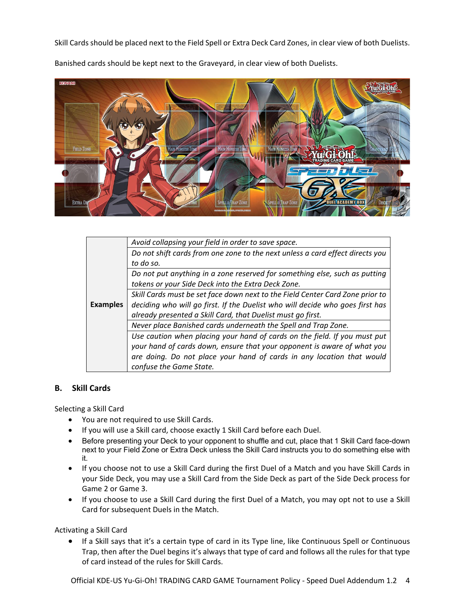Skill Cards should be placed next to the Field Spell or Extra Deck Card Zones, in clear view of both Duelists.



Banished cards should be kept next to the Graveyard, in clear view of both Duelists.

|                 | Avoid collapsing your field in order to save space.                           |  |
|-----------------|-------------------------------------------------------------------------------|--|
|                 | Do not shift cards from one zone to the next unless a card effect directs you |  |
|                 | to do so.                                                                     |  |
|                 | Do not put anything in a zone reserved for something else, such as putting    |  |
|                 | tokens or your Side Deck into the Extra Deck Zone.                            |  |
|                 | Skill Cards must be set face down next to the Field Center Card Zone prior to |  |
| <b>Examples</b> | deciding who will go first. If the Duelist who will decide who goes first has |  |
|                 | already presented a Skill Card, that Duelist must go first.                   |  |
|                 | Never place Banished cards underneath the Spell and Trap Zone.                |  |
|                 | Use caution when placing your hand of cards on the field. If you must put     |  |
|                 | your hand of cards down, ensure that your opponent is aware of what you       |  |
|                 | are doing. Do not place your hand of cards in any location that would         |  |
|                 | confuse the Game State.                                                       |  |

#### **B. Skill Cards**

Selecting a Skill Card

- You are not required to use Skill Cards.
- If you will use a Skill card, choose exactly 1 Skill Card before each Duel.
- Before presenting your Deck to your opponent to shuffle and cut, place that 1 Skill Card face-down next to your Field Zone or Extra Deck unless the Skill Card instructs you to do something else with it.
- If you choose not to use a Skill Card during the first Duel of a Match and you have Skill Cards in your Side Deck, you may use a Skill Card from the Side Deck as part of the Side Deck process for Game 2 or Game 3.
- If you choose to use a Skill Card during the first Duel of a Match, you may opt not to use a Skill Card for subsequent Duels in the Match.

Activating a Skill Card

• If a Skill says that it's a certain type of card in its Type line, like Continuous Spell or Continuous Trap, then after the Duel begins it's always that type of card and follows all the rules for that type of card instead of the rules for Skill Cards.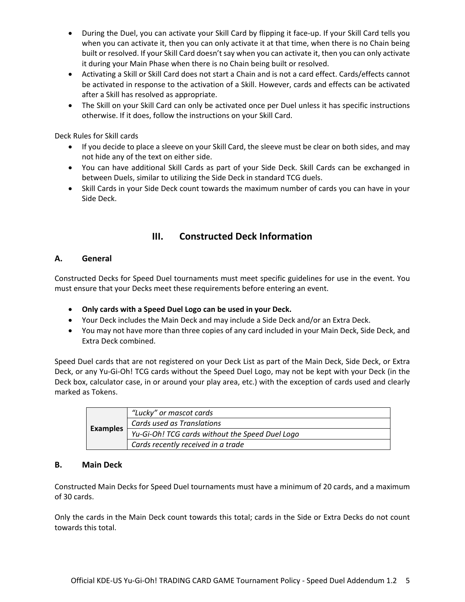- During the Duel, you can activate your Skill Card by flipping it face-up. If your Skill Card tells you when you can activate it, then you can only activate it at that time, when there is no Chain being built or resolved. If your Skill Card doesn't say when you can activate it, then you can only activate it during your Main Phase when there is no Chain being built or resolved.
- Activating a Skill or Skill Card does not start a Chain and is not a card effect. Cards/effects cannot be activated in response to the activation of a Skill. However, cards and effects can be activated after a Skill has resolved as appropriate.
- The Skill on your Skill Card can only be activated once per Duel unless it has specific instructions otherwise. If it does, follow the instructions on your Skill Card.

Deck Rules for Skill cards

- If you decide to place a sleeve on your Skill Card, the sleeve must be clear on both sides, and may not hide any of the text on either side.
- You can have additional Skill Cards as part of your Side Deck. Skill Cards can be exchanged in between Duels, similar to utilizing the Side Deck in standard TCG duels.
- Skill Cards in your Side Deck count towards the maximum number of cards you can have in your Side Deck.

## **III. Constructed Deck Information**

## **A. General**

Constructed Decks for Speed Duel tournaments must meet specific guidelines for use in the event. You must ensure that your Decks meet these requirements before entering an event.

- **Only cards with a Speed Duel Logo can be used in your Deck.**
- Your Deck includes the Main Deck and may include a Side Deck and/or an Extra Deck.
- You may not have more than three copies of any card included in your Main Deck, Side Deck, and Extra Deck combined.

Speed Duel cards that are not registered on your Deck List as part of the Main Deck, Side Deck, or Extra Deck, or any Yu-Gi-Oh! TCG cards without the Speed Duel Logo, may not be kept with your Deck (in the Deck box, calculator case, in or around your play area, etc.) with the exception of cards used and clearly marked as Tokens.

| <b>Examples</b> | "Lucky" or mascot cards                         |
|-----------------|-------------------------------------------------|
|                 | Cards used as Translations                      |
|                 | Yu-Gi-Oh! TCG cards without the Speed Duel Logo |
|                 | Cards recently received in a trade              |

#### **B. Main Deck**

Constructed Main Decks for Speed Duel tournaments must have a minimum of 20 cards, and a maximum of 30 cards.

Only the cards in the Main Deck count towards this total; cards in the Side or Extra Decks do not count towards this total.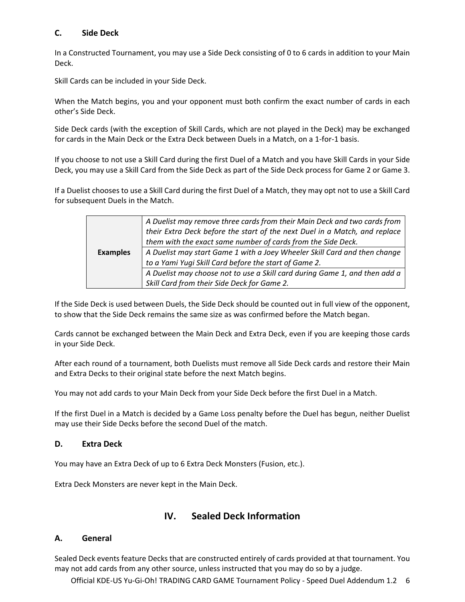## **C. Side Deck**

In a Constructed Tournament, you may use a Side Deck consisting of 0 to 6 cards in addition to your Main Deck.

Skill Cards can be included in your Side Deck.

When the Match begins, you and your opponent must both confirm the exact number of cards in each other's Side Deck.

Side Deck cards (with the exception of Skill Cards, which are not played in the Deck) may be exchanged for cards in the Main Deck or the Extra Deck between Duels in a Match, on a 1-for-1 basis.

If you choose to not use a Skill Card during the first Duel of a Match and you have Skill Cards in your Side Deck, you may use a Skill Card from the Side Deck as part of the Side Deck process for Game 2 or Game 3.

If a Duelist chooses to use a Skill Card during the first Duel of a Match, they may opt not to use a Skill Card for subsequent Duels in the Match.

|                 | A Duelist may remove three cards from their Main Deck and two cards from   |  |
|-----------------|----------------------------------------------------------------------------|--|
|                 | their Extra Deck before the start of the next Duel in a Match, and replace |  |
|                 | them with the exact same number of cards from the Side Deck.               |  |
| <b>Examples</b> | A Duelist may start Game 1 with a Joey Wheeler Skill Card and then change  |  |
|                 | to a Yami Yugi Skill Card before the start of Game 2.                      |  |
|                 | A Duelist may choose not to use a Skill card during Game 1, and then add a |  |
|                 | Skill Card from their Side Deck for Game 2.                                |  |

If the Side Deck is used between Duels, the Side Deck should be counted out in full view of the opponent, to show that the Side Deck remains the same size as was confirmed before the Match began.

Cards cannot be exchanged between the Main Deck and Extra Deck, even if you are keeping those cards in your Side Deck.

After each round of a tournament, both Duelists must remove all Side Deck cards and restore their Main and Extra Decks to their original state before the next Match begins.

You may not add cards to your Main Deck from your Side Deck before the first Duel in a Match.

If the first Duel in a Match is decided by a Game Loss penalty before the Duel has begun, neither Duelist may use their Side Decks before the second Duel of the match.

## **D. Extra Deck**

You may have an Extra Deck of up to 6 Extra Deck Monsters (Fusion, etc.).

Extra Deck Monsters are never kept in the Main Deck.

## **IV. Sealed Deck Information**

## **A. General**

Sealed Deck events feature Decks that are constructed entirely of cards provided at that tournament. You may not add cards from any other source, unless instructed that you may do so by a judge.

Official KDE-US Yu-Gi-Oh! TRADING CARD GAME Tournament Policy - Speed Duel Addendum 1.2 6